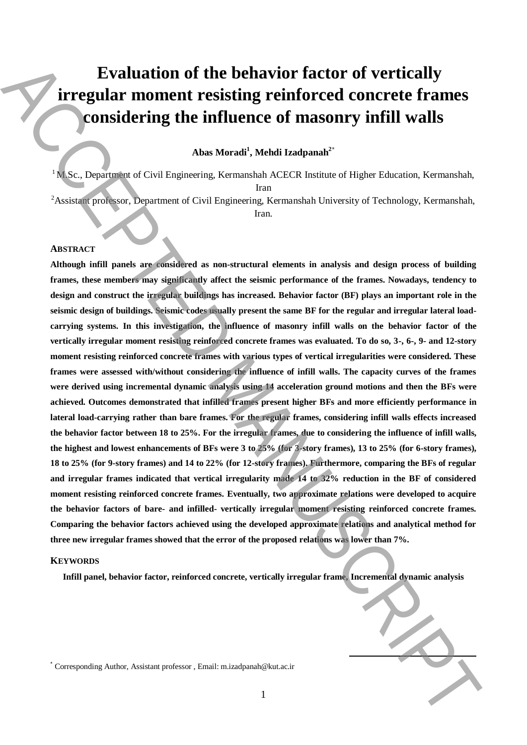# **Evaluation of the behavior factor of vertically irregular moment resisting reinforced concrete frames considering the influence of masonry infill walls**

**Abas Moradi<sup>1</sup> , Mehdi Izadpanah<sup>2</sup>\***

 $1$ M.Sc., Department of Civil Engineering, Kermanshah ACECR Institute of Higher Education, Kermanshah, Iran <sup>2</sup>Assistant professor, Department of Civil Engineering, Kermanshah University of Technology, Kermanshah,

Iran.

## **ABSTRACT**

**Although infill panels are considered as non-structural elements in analysis and design process of building frames, these members may significantly affect the seismic performance of the frames. Nowadays, tendency to design and construct the irregular buildings has increased. Behavior factor (BF) plays an important role in the seismic design of buildings. Seismic codes usually present the same BF for the regular and irregular lateral loadcarrying systems. In this investigation, the influence of masonry infill walls on the behavior factor of the vertically irregular moment resisting reinforced concrete frames was evaluated. To do so, 3-, 6-, 9- and 12-story moment resisting reinforced concrete frames with various types of vertical irregularities were considered. These frames were assessed with/without considering the influence of infill walls. The capacity curves of the frames were derived using incremental dynamic analysis using 14 acceleration ground motions and then the BFs were achieved. Outcomes demonstrated that infilled frames present higher BFs and more efficiently performance in lateral load-carrying rather than bare frames. For the regular frames, considering infill walls effects increased the behavior factor between 18 to 25%. For the irregular frames, due to considering the influence of infill walls, the highest and lowest enhancements of BFs were 3 to 25% (for 3-story frames), 13 to 25% (for 6-story frames), 18 to 25% (for 9-story frames) and 14 to 22% (for 12-story frames). Furthermore, comparing the BFs of regular and irregular frames indicated that vertical irregularity made 14 to 32% reduction in the BF of considered moment resisting reinforced concrete frames. Eventually, two approximate relations were developed to acquire the behavior factors of bare- and infilled- vertically irregular moment resisting reinforced concrete frames. Comparing the behavior factors achieved using the developed approximate relations and analytical method for three new irregular frames showed that the error of the proposed relations was lower than 7%.**  Evaluation of the behavior factor of vertically<br>
considering the influence of masson y infill walls<br>
considering the influence of masson is the simulated alternative and the<br>
strength of Cost Trajectoring Kernanska (TCC h

### **KEYWORDS**

**Infill panel, behavior factor, reinforced concrete, vertically irregular frame, Incremental dynamic analysis**

1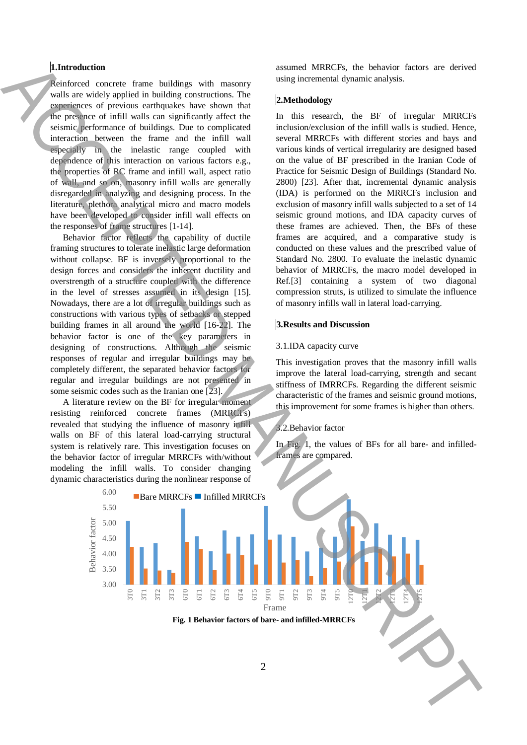## **1.Introduction**

Reinforced concrete frame buildings with masonry walls are widely applied in building constructions. The experiences of previous earthquakes have shown that the presence of infill walls can significantly affect the seismic performance of buildings. Due to complicated interaction between the frame and the infill wall especially in the inelastic range coupled with dependence of this interaction on various factors e.g., the properties of RC frame and infill wall, aspect ratio of wall, and so on, masonry infill walls are generally disregarded in analyzing and designing process. In the literature, plethora analytical micro and macro models have been developed to consider infill wall effects on the responses of frame structures [1-14].

Behavior factor reflects the capability of ductile framing structures to tolerate inelastic large deformation without collapse. BF is inversely proportional to the design forces and considers the inherent ductility and overstrength of a structure coupled with the difference in the level of stresses assumed in its design [15]. Nowadays, there are a lot of irregular buildings such as constructions with various types of setbacks or stepped building frames in all around the world [16-22]. The behavior factor is one of the key parameters in designing of constructions. Although the seismic responses of regular and irregular buildings may be completely different, the separated behavior factors for regular and irregular buildings are not presented in some seismic codes such as the Iranian one [23].

A literature review on the BF for irregular moment resisting reinforced concrete frames (MRRCFs) revealed that studying the influence of masonry infill walls on BF of this lateral load-carrying structural system is relatively rare. This investigation focuses on the behavior factor of irregular MRRCFs with/without modeling the infill walls. To consider changing dynamic characteristics during the nonlinear response of

assumed MRRCFs, the behavior factors are derived using incremental dynamic analysis.

#### **2.Methodology**

In this research, the BF of irregular MRRCFs inclusion/exclusion of the infill walls is studied. Hence, several MRRCFs with different stories and bays and various kinds of vertical irregularity are designed based on the value of BF prescribed in the Iranian Code of Practice for Seismic Design of Buildings (Standard No. 2800) [23]. After that, incremental dynamic analysis (IDA) is performed on the MRRCFs inclusion and exclusion of masonry infill walls subjected to a set of 14 seismic ground motions, and IDA capacity curves of these frames are achieved. Then, the BFs of these frames are acquired, and a comparative study is conducted on these values and the prescribed value of Standard No. 2800. To evaluate the inelastic dynamic behavior of MRRCFs, the macro model developed in Ref.[3] containing a system of two diagonal compression struts, is utilized to simulate the influence of masonry infills wall in lateral load-carrying.

## **3.Results and Discussion**

## 3.1.IDA capacity curve

This investigation proves that the masonry infill walls improve the lateral load-carrying, strength and secant stiffness of IMRRCFs. Regarding the different seismic characteristic of the frames and seismic ground motions, this improvement for some frames is higher than others.

### 3.2.Behavior factor

In Fig. 1, the values of BFs for all bare- and infilledframes are compared.